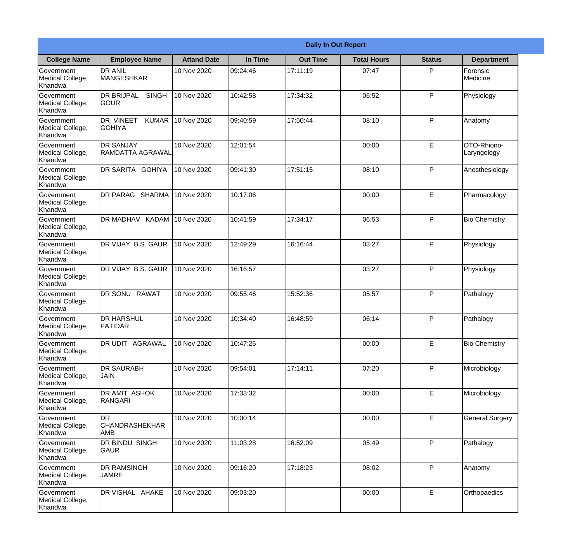|                                                  |                                                   |                    |          | <b>Daily In Out Report</b> |                    |               |                            |
|--------------------------------------------------|---------------------------------------------------|--------------------|----------|----------------------------|--------------------|---------------|----------------------------|
| <b>College Name</b>                              | <b>Employee Name</b>                              | <b>Attand Date</b> | In Time  | <b>Out Time</b>            | <b>Total Hours</b> | <b>Status</b> | <b>Department</b>          |
| Government<br>Medical College,<br>Khandwa        | <b>DR ANIL</b><br><b>MANGESHKAR</b>               | 10 Nov 2020        | 09:24:46 | 17:11:19                   | 07:47              | P             | Forensic<br>Medicine       |
| Government<br>Medical College,<br>Khandwa        | <b>DR BRIJPAL</b><br><b>SINGH</b><br> GOUR        | 10 Nov 2020        | 10:42:58 | 17:34:32                   | 06:52              | P             | Physiology                 |
| <b>Government</b><br>Medical College,<br>Khandwa | <b>DR VINEET</b><br><b>KUMAR</b><br><b>GOHIYA</b> | 10 Nov 2020        | 09:40:59 | 17:50:44                   | 08:10              | P             | Anatomy                    |
| <b>Government</b><br>Medical College,<br>Khandwa | <b>DR SANJAY</b><br>RAMDATTA AGRAWAL              | 10 Nov 2020        | 12:01:54 |                            | 00:00              | E             | OTO-Rhiono-<br>Laryngology |
| Government<br>Medical College,<br>Khandwa        | DR SARITA GOHIYA                                  | 10 Nov 2020        | 09:41:30 | 17:51:15                   | 08:10              | P             | Anesthesiology             |
| Government<br>Medical College,<br>Khandwa        | DR PARAG SHARMA                                   | 10 Nov 2020        | 10:17:06 |                            | 00:00              | E             | Pharmacology               |
| <b>Government</b><br>Medical College,<br>Khandwa | DR MADHAV KADAM                                   | 10 Nov 2020        | 10:41:59 | 17:34:17                   | 06:53              | P             | <b>Bio Chemistry</b>       |
| <b>Government</b><br>Medical College,<br>Khandwa | DR VIJAY B.S. GAUR                                | 10 Nov 2020        | 12:49:29 | 16:16:44                   | 03:27              | P             | Physiology                 |
| Government<br>Medical College,<br>Khandwa        | DR VIJAY B.S. GAUR                                | 10 Nov 2020        | 16:16:57 |                            | 03:27              | P             | Physiology                 |
| Government<br>Medical College,<br>Khandwa        | <b>RAWAT</b><br><b>DR SONU</b>                    | 10 Nov 2020        | 09:55:46 | 15:52:36                   | 05:57              | P             | Pathalogy                  |
| Government<br>Medical College,<br>Khandwa        | <b>DR HARSHUL</b><br><b>PATIDAR</b>               | 10 Nov 2020        | 10:34:40 | 16:48:59                   | 06:14              | P             | Pathalogy                  |
| Government<br>Medical College,<br>Khandwa        | <b>DR UDIT AGRAWAL</b>                            | 10 Nov 2020        | 10:47:26 |                            | 00:00              | E             | <b>Bio Chemistry</b>       |
| Government<br>Medical College,<br>Khandwa        | <b>DR SAURABH</b><br><b>JAIN</b>                  | 10 Nov 2020        | 09:54:01 | 17:14:11                   | 07:20              | P             | Microbiology               |
| Government<br>Medical College,<br>Khandwa        | DR AMIT ASHOK<br>RANGARI                          | 10 Nov 2020        | 17:33:32 |                            | 00:00              | $\mathsf E$   | Microbiology               |
| Government<br>Medical College,<br>Khandwa        | IDR.<br><b>CHANDRASHEKHAR</b><br><b>AMB</b>       | 10 Nov 2020        | 10:00:14 |                            | 00:00              | E             | <b>General Surgery</b>     |
| Government<br>Medical College,<br>Khandwa        | DR BINDU SINGH<br><b>GAUR</b>                     | 10 Nov 2020        | 11:03:28 | 16:52:09                   | 05:49              | P             | Pathalogy                  |
| Government<br>Medical College,<br>Khandwa        | <b>DR RAMSINGH</b><br><b>JAMRE</b>                | 10 Nov 2020        | 09:16:20 | 17:18:23                   | 08:02              | P             | Anatomy                    |
| Government<br>Medical College,<br>Khandwa        | DR VISHAL AHAKE                                   | 10 Nov 2020        | 09:03:20 |                            | 00:00              | $\mathsf E$   | Orthopaedics               |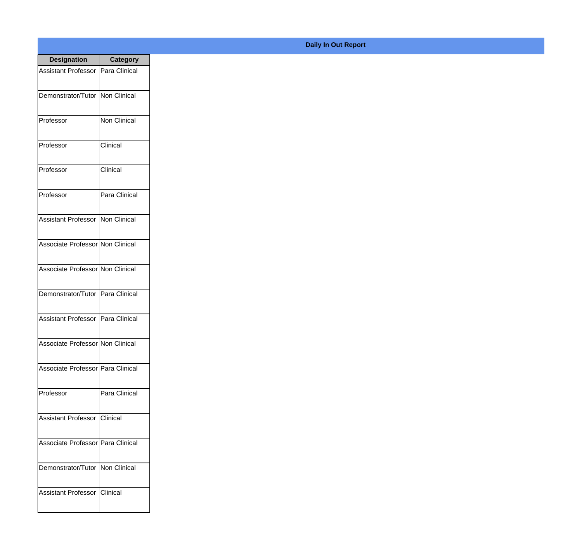| <b>Designation</b>                        | Category            |
|-------------------------------------------|---------------------|
| <b>Assistant Professor</b>                | Para Clinical       |
| Demonstrator/Tutor                        | <b>Non Clinical</b> |
| Professor                                 | <b>Non Clinical</b> |
| Professor                                 | Clinical            |
| Professor                                 | Clinical            |
| Professor                                 | Para Clinical       |
| <b>Assistant Professor   Non Clinical</b> |                     |
| Associate Professor Non Clinical          |                     |
| Associate Professor Non Clinical          |                     |
| Demonstrator/Tutor                        | Para Clinical       |
| <b>Assistant Professor</b>                | IPara Clinical      |
| Associate Professor Non Clinical          |                     |
| Associate Professor   Para Clinical       |                     |
| Professor                                 | Para Clinical       |
| Assistant Professor   Clinical            |                     |
| Associate Professor   Para Clinical       |                     |
| Demonstrator/Tutor   Non Clinical         |                     |
| <b>Assistant Professor</b>                | <b>IClinical</b>    |

## **Daily In Out Report**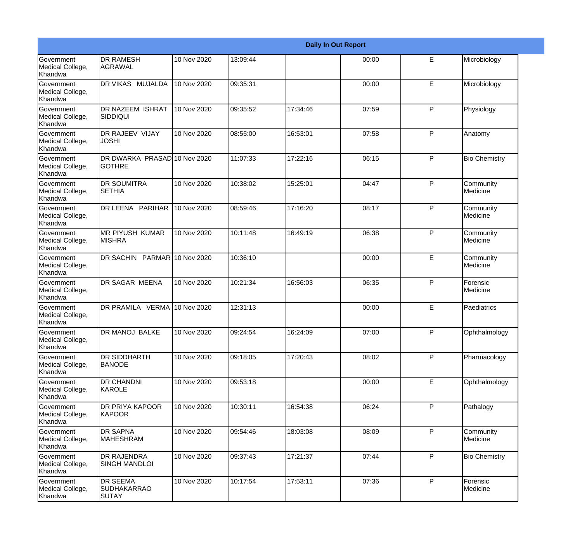|                                                  |                                                |             |          |          | <b>Daily In Out Report</b> |              |                       |
|--------------------------------------------------|------------------------------------------------|-------------|----------|----------|----------------------------|--------------|-----------------------|
| <b>Government</b><br>Medical College,<br>Khandwa | <b>DR RAMESH</b><br>AGRAWAL                    | 10 Nov 2020 | 13:09:44 |          | 00:00                      | E            | Microbiology          |
| <b>Government</b><br>Medical College,<br>Khandwa | DR VIKAS MUJALDA                               | 10 Nov 2020 | 09:35:31 |          | 00:00                      | E            | Microbiology          |
| <b>Government</b><br>Medical College,<br>Khandwa | <b>DR NAZEEM ISHRAT</b><br><b>SIDDIQUI</b>     | 10 Nov 2020 | 09:35:52 | 17:34:46 | 07:59                      | P            | Physiology            |
| <b>Government</b><br>Medical College,<br>Khandwa | <b>DR RAJEEV VIJAY</b><br><b>JOSHI</b>         | 10 Nov 2020 | 08:55:00 | 16:53:01 | 07:58                      | P            | Anatomy               |
| Government<br>Medical College,<br>Khandwa        | DR DWARKA PRASAD 10 Nov 2020<br><b>GOTHRE</b>  |             | 11:07:33 | 17:22:16 | 06:15                      | P            | <b>Bio Chemistry</b>  |
| <b>Government</b><br>Medical College,<br>Khandwa | <b>DR SOUMITRA</b><br><b>SETHIA</b>            | 10 Nov 2020 | 10:38:02 | 15:25:01 | 04:47                      | $\mathsf{P}$ | Community<br>Medicine |
| Government<br>Medical College,<br>Khandwa        | DR LEENA PARIHAR                               | 10 Nov 2020 | 08:59:46 | 17:16:20 | 08:17                      | P            | Community<br>Medicine |
| Government<br>Medical College,<br>Khandwa        | <b>MR PIYUSH KUMAR</b><br><b>MISHRA</b>        | 10 Nov 2020 | 10:11:48 | 16:49:19 | 06:38                      | P            | Community<br>Medicine |
| Government<br>Medical College,<br>Khandwa        | DR SACHIN PARMAR 10 Nov 2020                   |             | 10:36:10 |          | 00:00                      | E            | Community<br>Medicine |
| <b>Government</b><br>Medical College,<br>Khandwa | DR SAGAR MEENA                                 | 10 Nov 2020 | 10:21:34 | 16:56:03 | 06:35                      | P            | Forensic<br>Medicine  |
| <b>Government</b><br>Medical College,<br>Khandwa | DR PRAMILA VERMA 10 Nov 2020                   |             | 12:31:13 |          | 00:00                      | E            | Paediatrics           |
| Government<br>Medical College,<br>Khandwa        | DR MANOJ BALKE                                 | 10 Nov 2020 | 09:24:54 | 16:24:09 | 07:00                      | P            | Ophthalmology         |
| <b>Government</b><br>Medical College,<br>Khandwa | <b>DR SIDDHARTH</b><br><b>BANODE</b>           | 10 Nov 2020 | 09:18:05 | 17:20:43 | 08:02                      | P            | Pharmacology          |
| Government<br>Medical College,<br>Khandwa        | <b>DR CHANDNI</b><br>KAROLE                    | 10 Nov 2020 | 09:53:18 |          | 00:00                      | E            | Ophthalmology         |
| Government<br>Medical College,<br>Khandwa        | DR PRIYA KAPOOR<br>KAPOOR                      | 10 Nov 2020 | 10:30:11 | 16:54:38 | 06:24                      | P            | Pathalogy             |
| Government<br>Medical College,<br>Khandwa        | <b>DR SAPNA</b><br><b>MAHESHRAM</b>            | 10 Nov 2020 | 09:54:46 | 18:03:08 | 08:09                      | P            | Community<br>Medicine |
| Government<br>Medical College,<br>Khandwa        | <b>DR RAJENDRA</b><br><b>SINGH MANDLOI</b>     | 10 Nov 2020 | 09:37:43 | 17:21:37 | 07:44                      | P            | <b>Bio Chemistry</b>  |
| Government<br>Medical College,<br>Khandwa        | <b>DR SEEMA</b><br><b>SUDHAKARRAO</b><br>SUTAY | 10 Nov 2020 | 10:17:54 | 17:53:11 | 07:36                      | $\mathsf{P}$ | Forensic<br>Medicine  |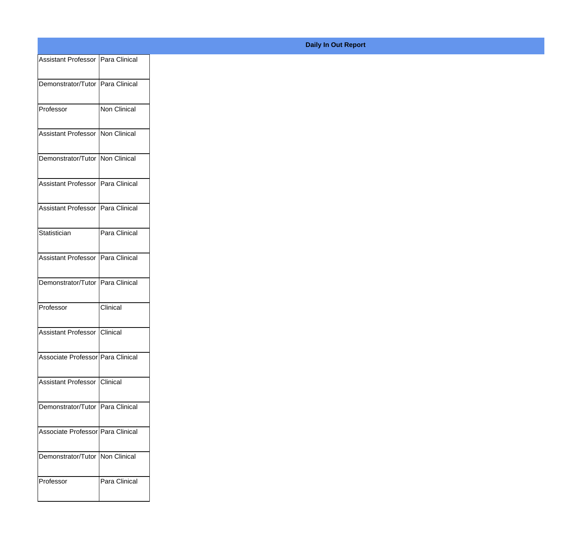| Assistant Professor   Para Clinical |               |
|-------------------------------------|---------------|
|                                     |               |
| Demonstrator/Tutor Para Clinical    |               |
| Professor                           | Non Clinical  |
|                                     |               |
| Assistant Professor   Non Clinical  |               |
| Demonstrator/Tutor Non Clinical     |               |
|                                     |               |
| Assistant Professor   Para Clinical |               |
| Assistant Professor   Para Clinical |               |
|                                     |               |
| Statistician                        | Para Clinical |
|                                     |               |
| Assistant Professor Para Clinical   |               |
| Demonstrator/Tutor Para Clinical    |               |
|                                     |               |
| Professor                           | Clinical      |
| Assistant Professor Clinical        |               |
|                                     |               |
| Associate Professor Para Clinical   |               |
| Assistant Professor   Clinical      |               |
|                                     |               |
| Demonstrator/Tutor Para Clinical    |               |
|                                     |               |
| Associate Professor Para Clinical   |               |
| Demonstrator/Tutor   Non Clinical   |               |
|                                     |               |
| Professor                           | Para Clinical |
|                                     |               |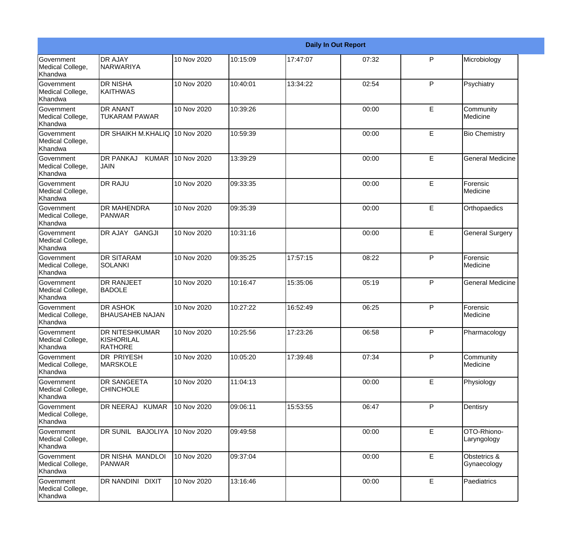|                                                  |                                                       |             |          |          | <b>Daily In Out Report</b> |              |                             |
|--------------------------------------------------|-------------------------------------------------------|-------------|----------|----------|----------------------------|--------------|-----------------------------|
| <b>Government</b><br>Medical College,<br>Khandwa | <b>DR AJAY</b><br>NARWARIYA                           | 10 Nov 2020 | 10:15:09 | 17:47:07 | 07:32                      | $\mathsf{P}$ | Microbiology                |
| Government<br>Medical College,<br>Khandwa        | <b>DR NISHA</b><br><b>KAITHWAS</b>                    | 10 Nov 2020 | 10:40:01 | 13:34:22 | 02:54                      | P            | Psychiatry                  |
| Government<br>Medical College,<br>Khandwa        | <b>DR ANANT</b><br><b>TUKARAM PAWAR</b>               | 10 Nov 2020 | 10:39:26 |          | 00:00                      | E            | Community<br>Medicine       |
| Government<br>Medical College,<br>Khandwa        | DR SHAIKH M.KHALIQ 10 Nov 2020                        |             | 10:59:39 |          | 00:00                      | E            | <b>Bio Chemistry</b>        |
| <b>Government</b><br>Medical College,<br>Khandwa | <b>DR PANKAJ</b><br><b>KUMAR</b><br>JAIN              | 10 Nov 2020 | 13:39:29 |          | 00:00                      | E            | <b>General Medicine</b>     |
| Government<br>Medical College,<br>Khandwa        | <b>DR RAJU</b>                                        | 10 Nov 2020 | 09:33:35 |          | 00:00                      | E            | Forensic<br>Medicine        |
| <b>Government</b><br>Medical College,<br>Khandwa | <b>DR MAHENDRA</b><br><b>PANWAR</b>                   | 10 Nov 2020 | 09:35:39 |          | 00:00                      | E            | Orthopaedics                |
| Government<br>Medical College,<br>Khandwa        | DR AJAY GANGJI                                        | 10 Nov 2020 | 10:31:16 |          | 00:00                      | E            | <b>General Surgery</b>      |
| Government<br>Medical College,<br>Khandwa        | <b>DR SITARAM</b><br><b>SOLANKI</b>                   | 10 Nov 2020 | 09:35:25 | 17:57:15 | 08:22                      | $\mathsf{P}$ | Forensic<br>Medicine        |
| Government<br>Medical College,<br>Khandwa        | <b>DR RANJEET</b><br><b>BADOLE</b>                    | 10 Nov 2020 | 10:16:47 | 15:35:06 | 05:19                      | P            | <b>General Medicine</b>     |
| <b>Government</b><br>Medical College,<br>Khandwa | <b>DR ASHOK</b><br>BHAUSAHEB NAJAN                    | 10 Nov 2020 | 10:27:22 | 16:52:49 | 06:25                      | P            | Forensic<br>Medicine        |
| Government<br>Medical College,<br>Khandwa        | <b>DR NITESHKUMAR</b><br>KISHORILAL<br><b>RATHORE</b> | 10 Nov 2020 | 10:25:56 | 17:23:26 | 06:58                      | P            | Pharmacology                |
| Government<br>Medical College,<br>Khandwa        | <b>DR PRIYESH</b><br><b>MARSKOLE</b>                  | 10 Nov 2020 | 10:05:20 | 17:39:48 | 07:34                      | $\mathsf{P}$ | Community<br>Medicine       |
| Government<br>Medical College,<br>Khandwa        | <b>DR SANGEETA</b><br><b>CHINCHOLE</b>                | 10 Nov 2020 | 11:04:13 |          | 00:00                      | E            | Physiology                  |
| Government<br>Medical College,<br>Khandwa        | DR NEERAJ KUMAR                                       | 10 Nov 2020 | 09:06:11 | 15:53:55 | 06:47                      | P            | Dentisry                    |
| Government<br>Medical College,<br>Khandwa        | DR SUNIL BAJOLIYA                                     | 10 Nov 2020 | 09:49:58 |          | 00:00                      | E            | OTO-Rhiono-<br>Laryngology  |
| Government<br>Medical College,<br>Khandwa        | DR NISHA MANDLOI<br><b>PANWAR</b>                     | 10 Nov 2020 | 09:37:04 |          | 00:00                      | E            | Obstetrics &<br>Gynaecology |
| Government<br>Medical College,<br>Khandwa        | DR NANDINI DIXIT                                      | 10 Nov 2020 | 13:16:46 |          | 00:00                      | E            | Paediatrics                 |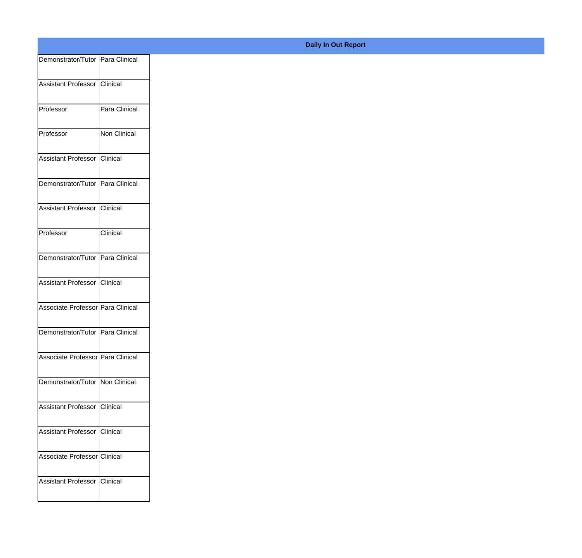| Demonstrator/Tutor   Para Clinical |               |
|------------------------------------|---------------|
| Assistant Professor Clinical       |               |
|                                    |               |
| Professor                          | Para Clinical |
| Professor                          | Non Clinical  |
|                                    |               |
| Assistant Professor                | Clinical      |
| Demonstrator/Tutor Para Clinical   |               |
| Assistant Professor                | Clinical      |
|                                    |               |
| Professor                          | Clinical      |
| Demonstrator/Tutor Para Clinical   |               |
| Assistant Professor Clinical       |               |
|                                    |               |
| Associate Professor Para Clinical  |               |
| Demonstrator/Tutor   Para Clinical |               |
|                                    |               |
| Associate Professor Para Clinical  |               |
| Demonstrator/Tutor   Non Clinical  |               |
| Assistant Professor Clinical       |               |
|                                    |               |
| Assistant Professor Clinical       |               |
| Associate Professor Clinical       |               |
| Assistant Professor Clinical       |               |
|                                    |               |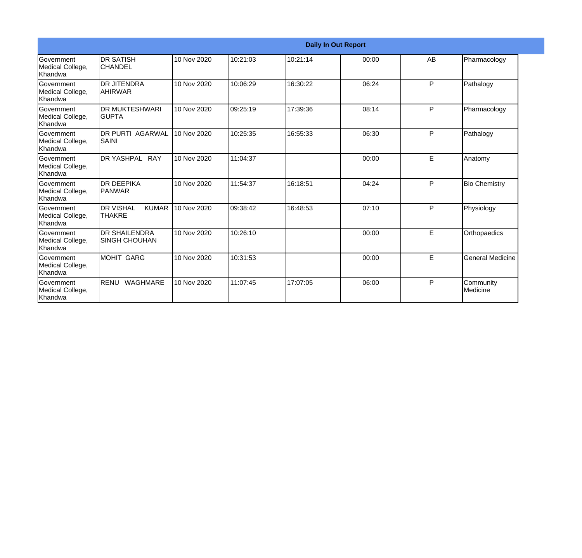|                                           |                                                   |             |          |          | <b>Daily In Out Report</b> |    |                         |
|-------------------------------------------|---------------------------------------------------|-------------|----------|----------|----------------------------|----|-------------------------|
| Government<br>Medical College,<br>Khandwa | <b>DR SATISH</b><br><b>CHANDEL</b>                | 10 Nov 2020 | 10:21:03 | 10:21:14 | 00:00                      | AB | Pharmacology            |
| Government<br>Medical College,<br>Khandwa | <b>DR JITENDRA</b><br>AHIRWAR                     | 10 Nov 2020 | 10:06:29 | 16:30:22 | 06:24                      | P  | Pathalogy               |
| Government<br>Medical College,<br>Khandwa | <b>DR MUKTESHWARI</b><br><b>GUPTA</b>             | 10 Nov 2020 | 09:25:19 | 17:39:36 | 08:14                      | P  | Pharmacology            |
| Government<br>Medical College,<br>Khandwa | <b>DR PURTI AGARWAL</b><br>SAINI                  | 10 Nov 2020 | 10:25:35 | 16:55:33 | 06:30                      | P  | Pathalogy               |
| Government<br>Medical College,<br>Khandwa | DR YASHPAL RAY                                    | 10 Nov 2020 | 11:04:37 |          | 00:00                      | E  | Anatomy                 |
| Government<br>Medical College,<br>Khandwa | <b>DR DEEPIKA</b><br><b>IPANWAR</b>               | 10 Nov 2020 | 11:54:37 | 16:18:51 | 04:24                      | P  | <b>Bio Chemistry</b>    |
| Government<br>Medical College,<br>Khandwa | <b>DR VISHAL</b><br><b>KUMAR</b><br><b>THAKRE</b> | 10 Nov 2020 | 09:38:42 | 16:48:53 | 07:10                      | P  | Physiology              |
| Government<br>Medical College,<br>Khandwa | <b>DR SHAILENDRA</b><br><b>SINGH CHOUHAN</b>      | 10 Nov 2020 | 10:26:10 |          | 00:00                      | E  | Orthopaedics            |
| Government<br>Medical College,<br>Khandwa | <b>MOHIT GARG</b>                                 | 10 Nov 2020 | 10:31:53 |          | 00:00                      | E  | <b>General Medicine</b> |
| Government<br>Medical College,<br>Khandwa | RENU<br>WAGHMARE                                  | 10 Nov 2020 | 11:07:45 | 17:07:05 | 06:00                      | P  | Community<br>Medicine   |